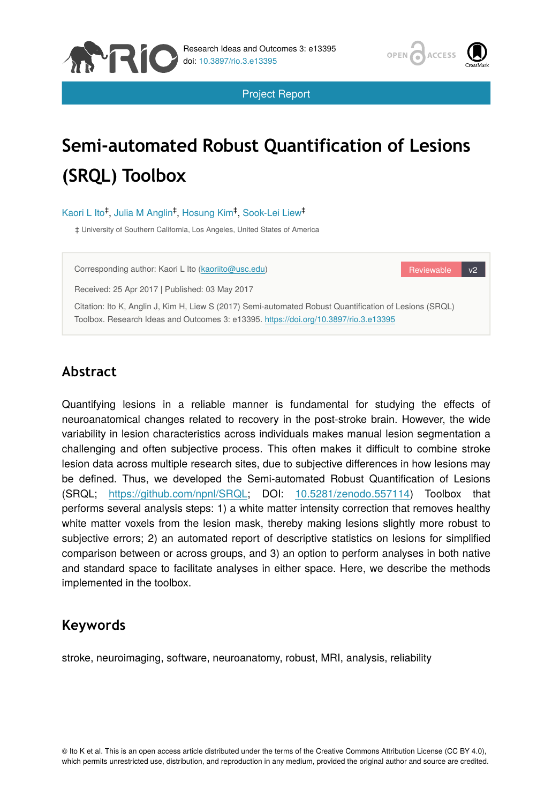

Reviewable v2

Project Report

# **Semi-automated Robust Quantification of Lesions (SRQL) Toolbox**

Kaori L Ito<sup>‡</sup>, Julia M Anglin<sup>‡</sup>, Hosung Kim<sup>‡</sup>, Sook-Lei Liew<sup>‡</sup>

‡ University of Southern California, Los Angeles, United States of America

Corresponding author: Kaori L Ito [\(kaoriito@usc.edu](mailto:kaoriito@usc.edu))

Received: 25 Apr 2017 | Published: 03 May 2017

MRIC

Citation: Ito K, Anglin J, Kim H, Liew S (2017) Semi-automated Robust Quantification of Lesions (SRQL) Toolbox. Research Ideas and Outcomes 3: e13395.<https://doi.org/10.3897/rio.3.e13395>

# **Abstract**

Quantifying lesions in a reliable manner is fundamental for studying the effects of neuroanatomical changes related to recovery in the post-stroke brain. However, the wide variability in lesion characteristics across individuals makes manual lesion segmentation a challenging and often subjective process. This often makes it difficult to combine stroke lesion data across multiple research sites, due to subjective differences in how lesions may be defined. Thus, we developed the Semi-automated Robust Quantification of Lesions (SRQL; [https://github.com/npnl/SRQL;](https://github.com/npnl/SRQL) DOI: [10.5281/zenodo.557114](https://doi.org/10.5281/zenodo.557114)) Toolbox that performs several analysis steps: 1) a white matter intensity correction that removes healthy white matter voxels from the lesion mask, thereby making lesions slightly more robust to subjective errors; 2) an automated report of descriptive statistics on lesions for simplified comparison between or across groups, and 3) an option to perform analyses in both native and standard space to facilitate analyses in either space. Here, we describe the methods implemented in the toolbox.

# **Keywords**

stroke, neuroimaging, software, neuroanatomy, robust, MRI, analysis, reliability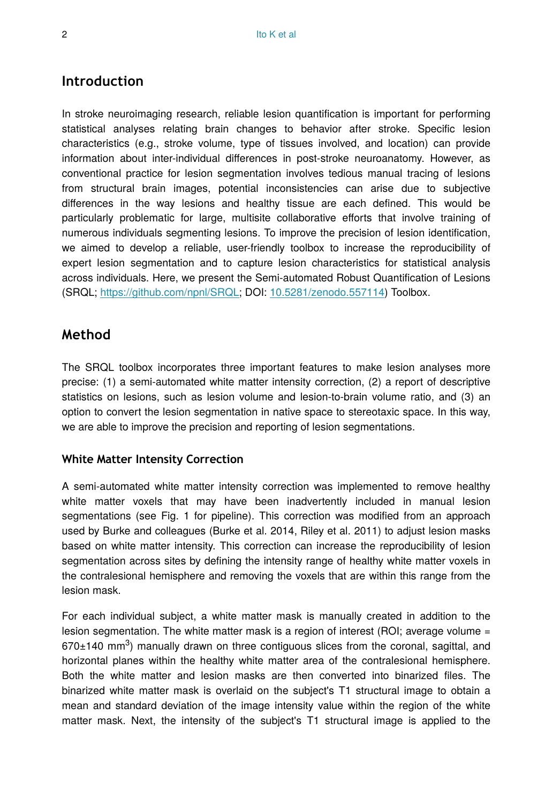#### **Introduction**

In stroke neuroimaging research, reliable lesion quantification is important for performing statistical analyses relating brain changes to behavior after stroke. Specific lesion characteristics (e.g., stroke volume, type of tissues involved, and location) can provide information about inter-individual differences in post-stroke neuroanatomy. However, as conventional practice for lesion segmentation involves tedious manual tracing of lesions from structural brain images, potential inconsistencies can arise due to subjective differences in the way lesions and healthy tissue are each defined. This would be particularly problematic for large, multisite collaborative efforts that involve training of numerous individuals segmenting lesions. To improve the precision of lesion identification, we aimed to develop a reliable, user-friendly toolbox to increase the reproducibility of expert lesion segmentation and to capture lesion characteristics for statistical analysis across individuals. Here, we present the Semi-automated Robust Quantification of Lesions (SRQL; [https://github.com/npnl/SRQL;](https://github.com/npnl/SRQL) DOI: [10.5281/zenodo.557114\)](https://doi.org/10.5281/zenodo.557114) Toolbox.

## **Method**

The SRQL toolbox incorporates three important features to make lesion analyses more precise: (1) a semi-automated white matter intensity correction, (2) a report of descriptive statistics on lesions, such as lesion volume and lesion-to-brain volume ratio, and (3) an option to convert the lesion segmentation in native space to stereotaxic space. In this way, we are able to improve the precision and reporting of lesion segmentations.

#### **White Matter Intensity Correction**

A semi-automated white matter intensity correction was implemented to remove healthy white matter voxels that may have been inadvertently included in manual lesion segmentations (see Fig. 1 for pipeline). This correction was modified from an approach used by Burke and colleagues (Burke et al. 2014, Riley et al. 2011) to adjust lesion masks based on white matter intensity. This correction can increase the reproducibility of lesion segmentation across sites by defining the intensity range of healthy white matter voxels in the contralesional hemisphere and removing the voxels that are within this range from the lesion mask.

For each individual subject, a white matter mask is manually created in addition to the lesion segmentation. The white matter mask is a region of interest (ROI; average volume =  $670±140$  mm<sup>3</sup>) manually drawn on three contiguous slices from the coronal, sagittal, and horizontal planes within the healthy white matter area of the contralesional hemisphere. Both the white matter and lesion masks are then converted into binarized files. The binarized white matter mask is overlaid on the subject's T1 structural image to obtain a mean and standard deviation of the image intensity value within the region of the white matter mask. Next, the intensity of the subject's T1 structural image is applied to the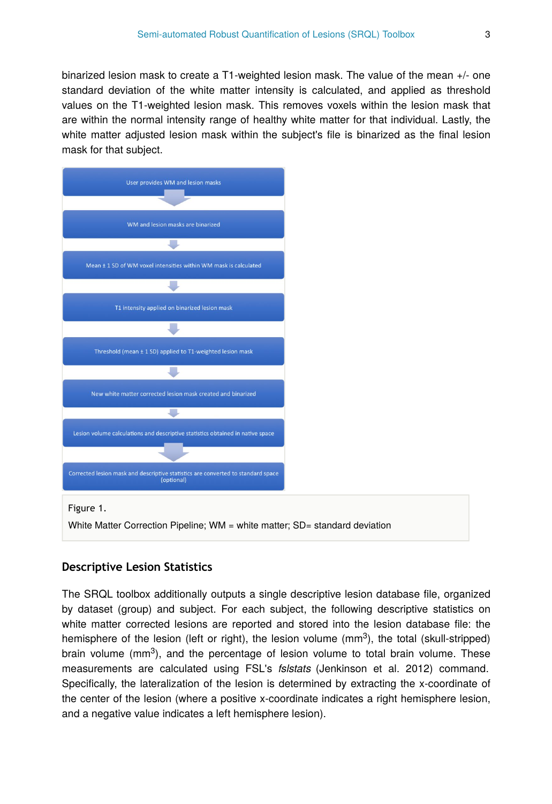binarized lesion mask to create a T1-weighted lesion mask. The value of the mean +/- one standard deviation of the white matter intensity is calculated, and applied as threshold values on the T1-weighted lesion mask. This removes voxels within the lesion mask that are within the normal intensity range of healthy white matter for that individual. Lastly, the white matter adjusted lesion mask within the subject's file is binarized as the final lesion mask for that subject.



#### **Descriptive Lesion Statistics**

The SRQL toolbox additionally outputs a single descriptive lesion database file, organized by dataset (group) and subject. For each subject, the following descriptive statistics on white matter corrected lesions are reported and stored into the lesion database file: the hemisphere of the lesion (left or right), the lesion volume ( $mm<sup>3</sup>$ ), the total (skull-stripped) brain volume ( $mm<sup>3</sup>$ ), and the percentage of lesion volume to total brain volume. These measurements are calculated using FSL's *fslstats* (Jenkinson et al. 2012) command. Specifically, the lateralization of the lesion is determined by extracting the x-coordinate of the center of the lesion (where a positive x-coordinate indicates a right hemisphere lesion, and a negative value indicates a left hemisphere lesion).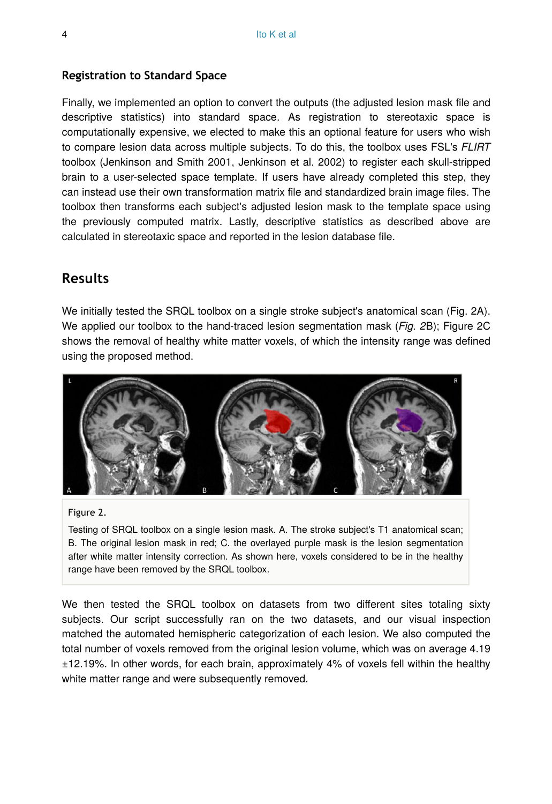#### **Registration to Standard Space**

Finally, we implemented an option to convert the outputs (the adjusted lesion mask file and descriptive statistics) into standard space. As registration to stereotaxic space is computationally expensive, we elected to make this an optional feature for users who wish to compare lesion data across multiple subjects. To do this, the toolbox uses FSL's *FLIRT* toolbox (Jenkinson and Smith 2001, Jenkinson et al. 2002) to register each skull-stripped brain to a user-selected space template. If users have already completed this step, they can instead use their own transformation matrix file and standardized brain image files. The toolbox then transforms each subject's adjusted lesion mask to the template space using the previously computed matrix. Lastly, descriptive statistics as described above are calculated in stereotaxic space and reported in the lesion database file.

## **Results**

We initially tested the SRQL toolbox on a single stroke subject's anatomical scan (Fig. 2A). We applied our toolbox to the hand-traced lesion segmentation mask (*Fig. 2*B); Figure 2C shows the removal of healthy white matter voxels, of which the intensity range was defined using the proposed method.



#### Figure 2.

Testing of SRQL toolbox on a single lesion mask. A. The stroke subject's T1 anatomical scan; B. The original lesion mask in red; C. the overlayed purple mask is the lesion segmentation after white matter intensity correction. As shown here, voxels considered to be in the healthy range have been removed by the SRQL toolbox.

We then tested the SRQL toolbox on datasets from two different sites totaling sixty subjects. Our script successfully ran on the two datasets, and our visual inspection matched the automated hemispheric categorization of each lesion. We also computed the total number of voxels removed from the original lesion volume, which was on average 4.19 ±12.19%. In other words, for each brain, approximately 4% of voxels fell within the healthy white matter range and were subsequently removed.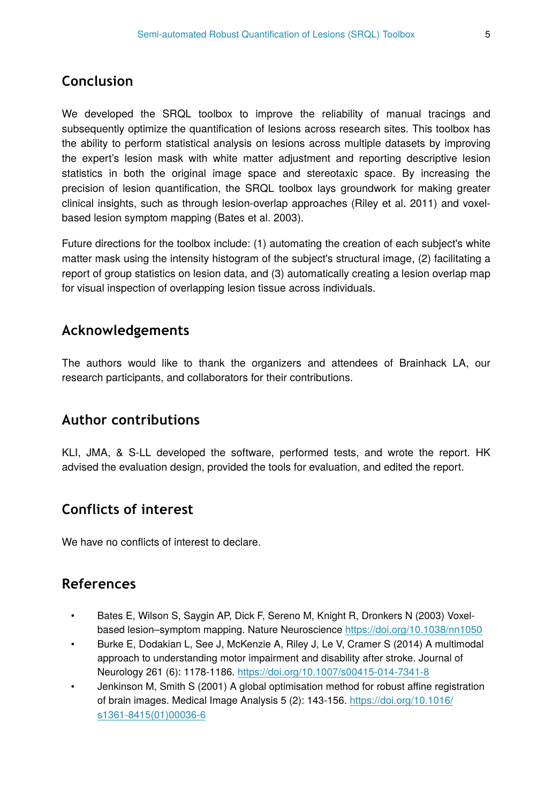# **Conclusion**

We developed the SRQL toolbox to improve the reliability of manual tracings and subsequently optimize the quantification of lesions across research sites. This toolbox has the ability to perform statistical analysis on lesions across multiple datasets by improving the expert's lesion mask with white matter adjustment and reporting descriptive lesion statistics in both the original image space and stereotaxic space. By increasing the precision of lesion quantification, the SRQL toolbox lays groundwork for making greater clinical insights, such as through lesion-overlap approaches (Riley et al. 2011) and voxelbased lesion symptom mapping (Bates et al. 2003).

Future directions for the toolbox include: (1) automating the creation of each subject's white matter mask using the intensity histogram of the subject's structural image, (2) facilitating a report of group statistics on lesion data, and (3) automatically creating a lesion overlap map for visual inspection of overlapping lesion tissue across individuals.

# **Acknowledgements**

The authors would like to thank the organizers and attendees of Brainhack LA, our research participants, and collaborators for their contributions.

## **Author contributions**

KLI, JMA, & S-LL developed the software, performed tests, and wrote the report. HK advised the evaluation design, provided the tools for evaluation, and edited the report.

## **Conflicts of interest**

We have no conflicts of interest to declare.

## **References**

- Bates E, Wilson S, Saygin AP, Dick F, Sereno M, Knight R, Dronkers N (2003) Voxelbased lesion–symptom mapping. Nature Neuroscience<https://doi.org/10.1038/nn1050>
- Burke E, Dodakian L, See J, McKenzie A, Riley J, Le V, Cramer S (2014) A multimodal approach to understanding motor impairment and disability after stroke. Journal of Neurology 261 (6): 1178‑1186.<https://doi.org/10.1007/s00415-014-7341-8>
- Jenkinson M, Smith S (2001) A global optimisation method for robust affine registration of brain images. Medical Image Analysis 5 (2): 143‑156. [https://doi.org/10.1016/](https://doi.org/10.1016/s1361-8415(01)00036-6) [s1361-8415\(01\)00036-6](https://doi.org/10.1016/s1361-8415(01)00036-6)